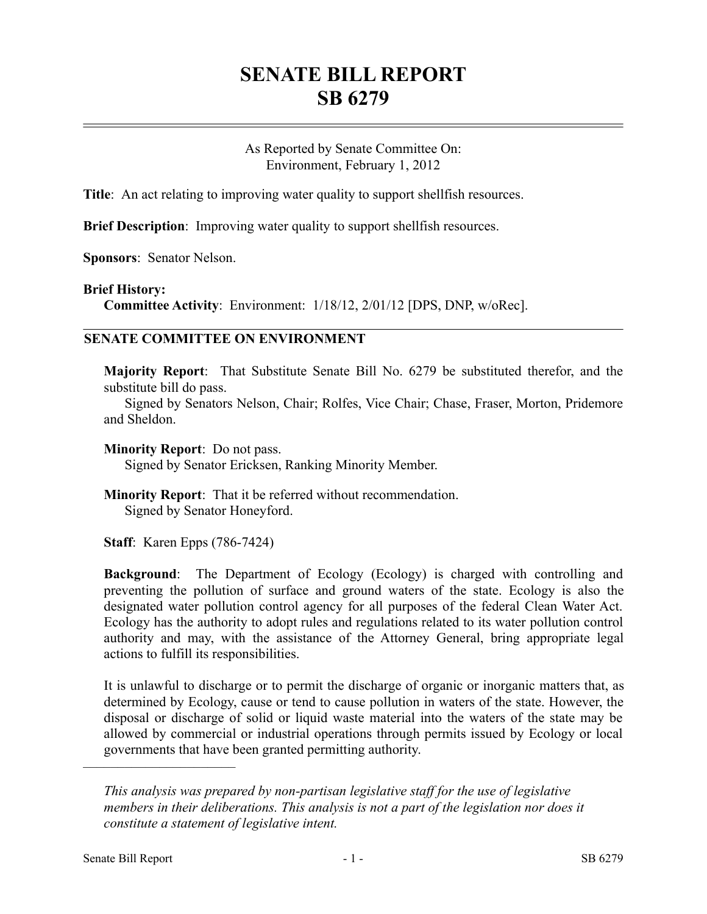## **SENATE BILL REPORT SB 6279**

As Reported by Senate Committee On: Environment, February 1, 2012

**Title**: An act relating to improving water quality to support shell fish resources.

**Brief Description**: Improving water quality to support shellfish resources.

**Sponsors**: Senator Nelson.

## **Brief History:**

**Committee Activity**: Environment: 1/18/12, 2/01/12 [DPS, DNP, w/oRec].

## **SENATE COMMITTEE ON ENVIRONMENT**

**Majority Report**: That Substitute Senate Bill No. 6279 be substituted therefor, and the substitute bill do pass.

Signed by Senators Nelson, Chair; Rolfes, Vice Chair; Chase, Fraser, Morton, Pridemore and Sheldon.

**Minority Report**: Do not pass.

Signed by Senator Ericksen, Ranking Minority Member.

**Minority Report**: That it be referred without recommendation. Signed by Senator Honeyford.

**Staff**: Karen Epps (786-7424)

**Background**: The Department of Ecology (Ecology) is charged with controlling and preventing the pollution of surface and ground waters of the state. Ecology is also the designated water pollution control agency for all purposes of the federal Clean Water Act. Ecology has the authority to adopt rules and regulations related to its water pollution control authority and may, with the assistance of the Attorney General, bring appropriate legal actions to fulfill its responsibilities.

It is unlawful to discharge or to permit the discharge of organic or inorganic matters that, as determined by Ecology, cause or tend to cause pollution in waters of the state. However, the disposal or discharge of solid or liquid waste material into the waters of the state may be allowed by commercial or industrial operations through permits issued by Ecology or local governments that have been granted permitting authority.

––––––––––––––––––––––

*This analysis was prepared by non-partisan legislative staff for the use of legislative members in their deliberations. This analysis is not a part of the legislation nor does it constitute a statement of legislative intent.*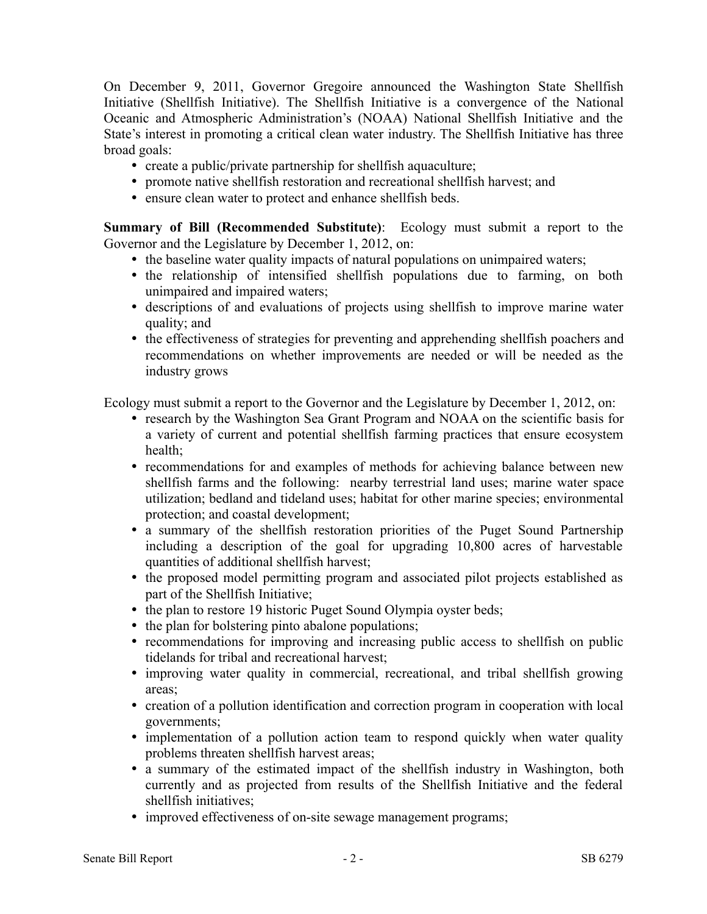On December 9, 2011, Governor Gregoire announced the Washington State Shellfish Initiative (Shellfish Initiative). The Shellfish Initiative is a convergence of the National Oceanic and Atmospheric Administration's (NOAA) National Shellfish Initiative and the State's interest in promoting a critical clean water industry. The Shellfish Initiative has three broad goals:

- create a public/private partnership for shellfish aquaculture;
- promote native shellfish restoration and recreational shellfish harvest; and
- ensure clean water to protect and enhance shellfish beds.

**Summary of Bill (Recommended Substitute)**: Ecology must submit a report to the Governor and the Legislature by December 1, 2012, on:

- the baseline water quality impacts of natural populations on unimpaired waters;
- the relationship of intensified shellfish populations due to farming, on both unimpaired and impaired waters;
- descriptions of and evaluations of projects using shellfish to improve marine water quality; and
- the effectiveness of strategies for preventing and apprehending shellfish poachers and recommendations on whether improvements are needed or will be needed as the industry grows

Ecology must submit a report to the Governor and the Legislature by December 1, 2012, on:

- research by the Washington Sea Grant Program and NOAA on the scientific basis for a variety of current and potential shellfish farming practices that ensure ecosystem health;
- recommendations for and examples of methods for achieving balance between new shellfish farms and the following: nearby terrestrial land uses; marine water space utilization; bedland and tideland uses; habitat for other marine species; environmental protection; and coastal development;
- a summary of the shellfish restoration priorities of the Puget Sound Partnership including a description of the goal for upgrading 10,800 acres of harvestable quantities of additional shellfish harvest;
- the proposed model permitting program and associated pilot projects established as part of the Shellfish Initiative;
- the plan to restore 19 historic Puget Sound Olympia oyster beds;
- the plan for bolstering pinto abalone populations;
- recommendations for improving and increasing public access to shellfish on public tidelands for tribal and recreational harvest;
- improving water quality in commercial, recreational, and tribal shellfish growing areas;
- creation of a pollution identification and correction program in cooperation with local governments;
- implementation of a pollution action team to respond quickly when water quality problems threaten shellfish harvest areas;
- a summary of the estimated impact of the shellfish industry in Washington, both currently and as projected from results of the Shellfish Initiative and the federal shellfish initiatives;
- improved effectiveness of on-site sewage management programs;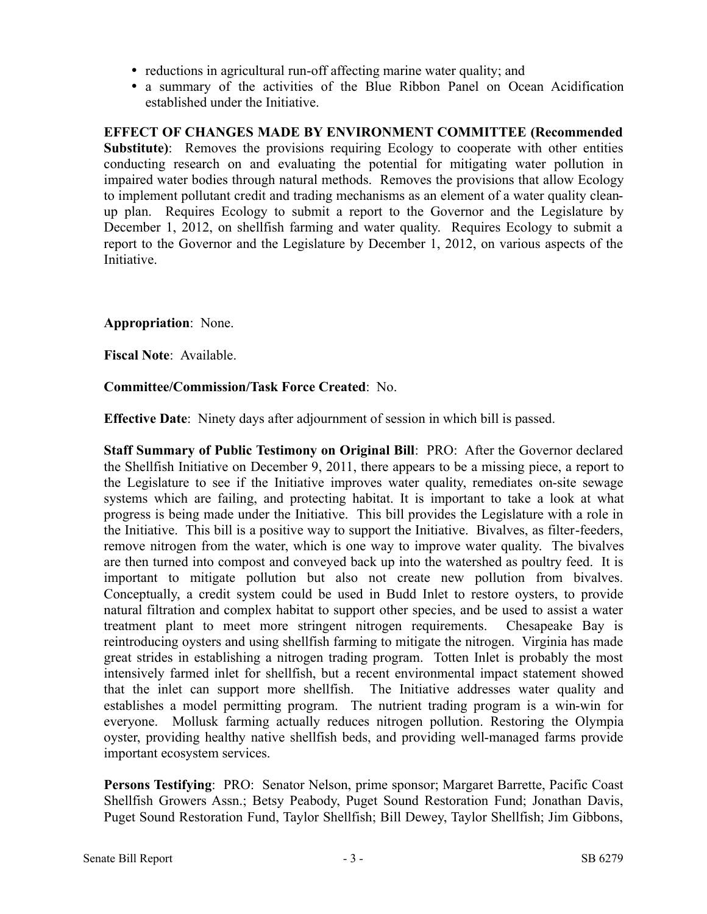- reductions in agricultural run-off affecting marine water quality; and
- a summary of the activities of the Blue Ribbon Panel on Ocean Acidification established under the Initiative.

**EFFECT OF CHANGES MADE BY ENVIRONMENT COMMITTEE (Recommended Substitute)**: Removes the provisions requiring Ecology to cooperate with other entities conducting research on and evaluating the potential for mitigating water pollution in impaired water bodies through natural methods. Removes the provisions that allow Ecology to implement pollutant credit and trading mechanisms as an element of a water quality cleanup plan. Requires Ecology to submit a report to the Governor and the Legislature by December 1, 2012, on shellfish farming and water quality. Requires Ecology to submit a report to the Governor and the Legislature by December 1, 2012, on various aspects of the **Initiative** 

**Appropriation**: None.

**Fiscal Note**: Available.

## **Committee/Commission/Task Force Created**: No.

**Effective Date**: Ninety days after adjournment of session in which bill is passed.

**Staff Summary of Public Testimony on Original Bill**: PRO: After the Governor declared the Shellfish Initiative on December 9, 2011, there appears to be a missing piece, a report to the Legislature to see if the Initiative improves water quality, remediates on-site sewage systems which are failing, and protecting habitat. It is important to take a look at what progress is being made under the Initiative. This bill provides the Legislature with a role in the Initiative. This bill is a positive way to support the Initiative. Bivalves, as filter-feeders, remove nitrogen from the water, which is one way to improve water quality. The bivalves are then turned into compost and conveyed back up into the watershed as poultry feed. It is important to mitigate pollution but also not create new pollution from bivalves. Conceptually, a credit system could be used in Budd Inlet to restore oysters, to provide natural filtration and complex habitat to support other species, and be used to assist a water treatment plant to meet more stringent nitrogen requirements. Chesapeake Bay is reintroducing oysters and using shellfish farming to mitigate the nitrogen. Virginia has made great strides in establishing a nitrogen trading program. Totten Inlet is probably the most intensively farmed inlet for shellfish, but a recent environmental impact statement showed that the inlet can support more shellfish. The Initiative addresses water quality and establishes a model permitting program. The nutrient trading program is a win-win for everyone. Mollusk farming actually reduces nitrogen pollution. Restoring the Olympia oyster, providing healthy native shellfish beds, and providing well-managed farms provide important ecosystem services.

**Persons Testifying**: PRO: Senator Nelson, prime sponsor; Margaret Barrette, Pacific Coast Shellfish Growers Assn.; Betsy Peabody, Puget Sound Restoration Fund; Jonathan Davis, Puget Sound Restoration Fund, Taylor Shellfish; Bill Dewey, Taylor Shellfish; Jim Gibbons,